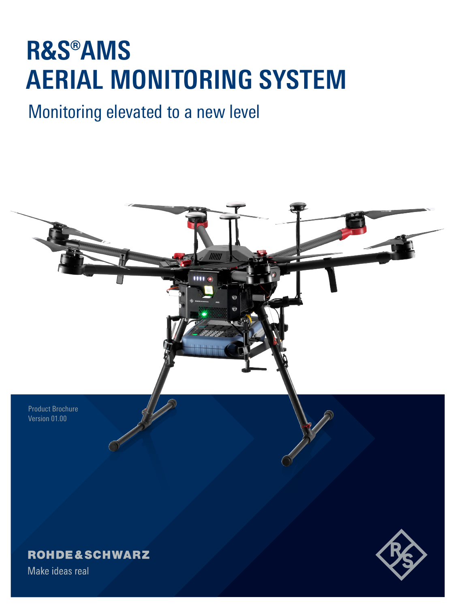### **R&S®AMS AERIAL MONITORING SYSTEM**

### Monitoring elevated to a new level

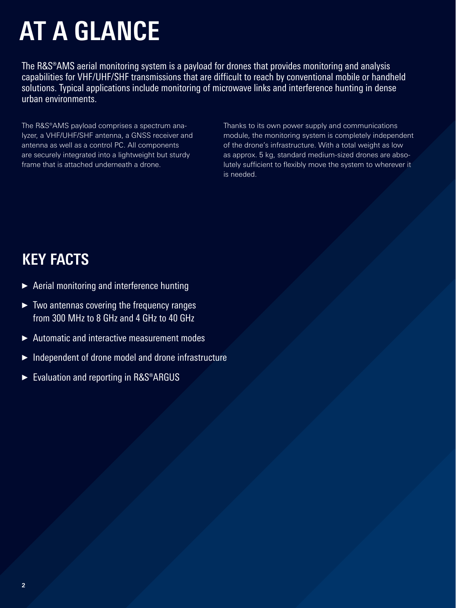# **AT A GLANCE**

The R&S®AMS aerial monitoring system is a payload for drones that provides monitoring and analysis capabilities for VHF/UHF/SHF transmissions that are difficult to reach by conventional mobile or handheld solutions. Typical applications include monitoring of microwave links and interference hunting in dense urban environments.

The R&S®AMS payload comprises a spectrum analyzer, a VHF/UHF/SHF antenna, a GNSS receiver and antenna as well as a control PC. All components are securely integrated into a lightweight but sturdy frame that is attached underneath a drone.

Thanks to its own power supply and communications module, the monitoring system is completely independent of the drone's infrastructure. With a total weight as low as approx. 5 kg, standard medium-sized drones are absolutely sufficient to flexibly move the system to wherever it is needed.

### **KEY FACTS**

- ► Aerial monitoring and interference hunting
- ► Two antennas covering the frequency ranges from 300 MHz to 8 GHz and 4 GHz to 40 GHz
- ► Automatic and interactive measurement modes
- ► Independent of drone model and drone infrastructure
- ► Evaluation and reporting in R&S®ARGUS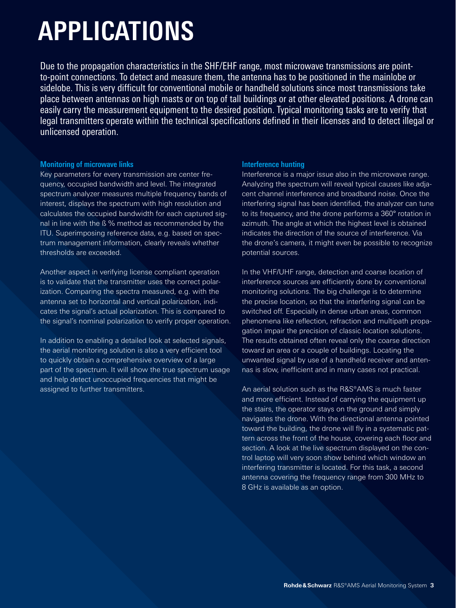## **APPLICATIONS**

Due to the propagation characteristics in the SHF/EHF range, most microwave transmissions are pointto-point connections. To detect and measure them, the antenna has to be positioned in the mainlobe or sidelobe. This is very difficult for conventional mobile or handheld solutions since most transmissions take place between antennas on high masts or on top of tall buildings or at other elevated positions. A drone can easily carry the measurement equipment to the desired position. Typical monitoring tasks are to verify that legal transmitters operate within the technical specifications defined in their licenses and to detect illegal or unlicensed operation.

#### **Monitoring of microwave links**

Key parameters for every transmission are center frequency, occupied bandwidth and level. The integrated spectrum analyzer measures multiple frequency bands of interest, displays the spectrum with high resolution and calculates the occupied bandwidth for each captured signal in line with the ß % method as recommended by the ITU. Superimposing reference data, e.g. based on spectrum management information, clearly reveals whether thresholds are exceeded.

Another aspect in verifying license compliant operation is to validate that the transmitter uses the correct polarization. Comparing the spectra measured, e.g. with the antenna set to horizontal and vertical polarization, indicates the signal's actual polarization. This is compared to the signal's nominal polarization to verify proper operation.

In addition to enabling a detailed look at selected signals, the aerial monitoring solution is also a very efficient tool to quickly obtain a comprehensive overview of a large part of the spectrum. It will show the true spectrum usage and help detect unoccupied frequencies that might be assigned to further transmitters.

#### **Interference hunting**

Interference is a major issue also in the microwave range. Analyzing the spectrum will reveal typical causes like adjacent channel interference and broadband noise. Once the interfering signal has been identified, the analyzer can tune to its frequency, and the drone performs a 360° rotation in azimuth. The angle at which the highest level is obtained indicates the direction of the source of interference. Via the drone's camera, it might even be possible to recognize potential sources.

In the VHF/UHF range, detection and coarse location of interference sources are efficiently done by conventional monitoring solutions. The big challenge is to determine the precise location, so that the interfering signal can be switched off. Especially in dense urban areas, common phenomena like reflection, refraction and multipath propagation impair the precision of classic location solutions. The results obtained often reveal only the coarse direction toward an area or a couple of buildings. Locating the unwanted signal by use of a handheld receiver and antennas is slow, inefficient and in many cases not practical.

An aerial solution such as the R&S®AMS is much faster and more efficient. Instead of carrying the equipment up the stairs, the operator stays on the ground and simply navigates the drone. With the directional antenna pointed toward the building, the drone will fly in a systematic pattern across the front of the house, covering each floor and section. A look at the live spectrum displayed on the control laptop will very soon show behind which window an interfering transmitter is located. For this task, a second antenna covering the frequency range from 300 MHz to 8 GHz is available as an option.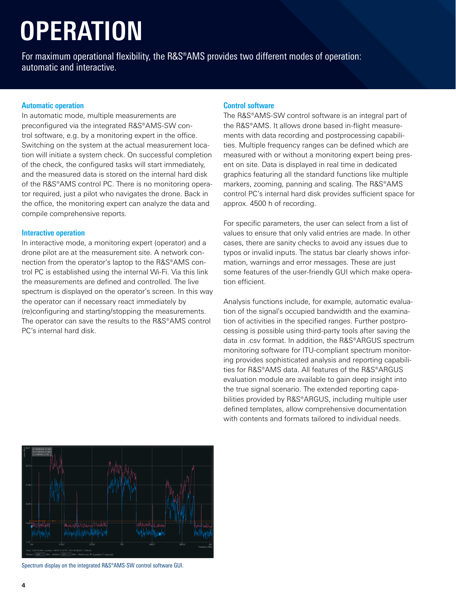# **OPERATION**

For maximum operational flexibility, the R&S®AMS provides two different modes of operation: automatic and interactive.

#### **Automatic operation**

In automatic mode, multiple measurements are preconfigured via the integrated R&S®AMS-SW control software, e.g. by a monitoring expert in the office. Switching on the system at the actual measurement location will initiate a system check. On successful completion of the check, the configured tasks will start immediately, and the measured data is stored on the internal hard disk of the R&S®AMS control PC. There is no monitoring operator required, just a pilot who navigates the drone. Back in the office, the monitoring expert can analyze the data and compile comprehensive reports.

#### **Interactive operation**

In interactive mode, a monitoring expert (operator) and a drone pilot are at the measurement site. A network connection from the operator's laptop to the R&S®AMS control PC is established using the internal Wi-Fi. Via this link the measurements are defined and controlled. The live spectrum is displayed on the operator's screen. In this way the operator can if necessary react immediately by (re)configuring and starting/stopping the measurements. The operator can save the results to the R&S®AMS control PC's internal hard disk.

#### **Control software**

The R&S®AMS-SW control software is an integral part of the R&S®AMS. It allows drone based in-flight measurements with data recording and postprocessing capabilities. Multiple frequency ranges can be defined which are measured with or without a monitoring expert being present on site. Data is displayed in real time in dedicated graphics featuring all the standard functions like multiple markers, zooming, panning and scaling. The R&S®AMS control PC's internal hard disk provides sufficient space for approx. 4500 h of recording.

For specific parameters, the user can select from a list of values to ensure that only valid entries are made. In other cases, there are sanity checks to avoid any issues due to typos or invalid inputs. The status bar clearly shows information, warnings and error messages. These are just some features of the user-friendly GUI which make operation efficient.

Analysis functions include, for example, automatic evaluation of the signal's occupied bandwidth and the examination of activities in the specified ranges. Further postprocessing is possible using third-party tools after saving the data in .csv format. In addition, the R&S®ARGUS spectrum monitoring software for ITU-compliant spectrum monitoring provides sophisticated analysis and reporting capabilities for R&S®AMS data. All features of the R&S®ARGUS evaluation module are available to gain deep insight into the true signal scenario. The extended reporting capabilities provided by R&S®ARGUS, including multiple user defined templates, allow comprehensive documentation with contents and formats tailored to individual needs.



Spectrum display on the integrated R&S®AMS-SW control software GUI.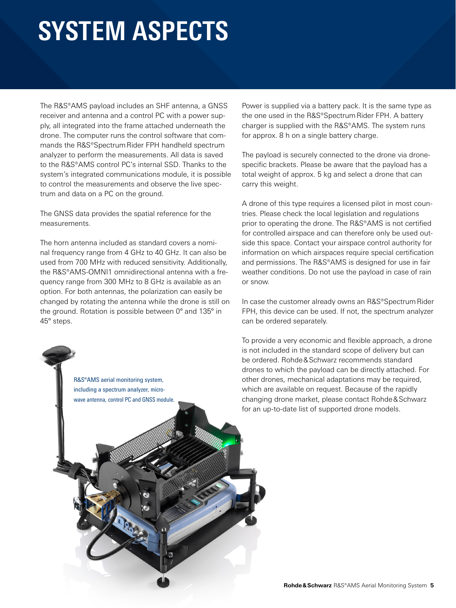### **SYSTEM ASPECTS**

The R&S®AMS payload includes an SHF antenna, a GNSS receiver and antenna and a control PC with a power supply, all integrated into the frame attached underneath the drone. The computer runs the control software that commands the R&S®Spectrum Rider FPH handheld spectrum analyzer to perform the measurements. All data is saved to the R&S®AMS control PC's internal SSD. Thanks to the system's integrated communications module, it is possible to control the measurements and observe the live spectrum and data on a PC on the ground.

The GNSS data provides the spatial reference for the measurements.

The horn antenna included as standard covers a nominal frequency range from 4 GHz to 40 GHz. It can also be used from 700 MHz with reduced sensitivity. Additionally, the R&S®AMS-OMNI1 omnidirectional antenna with a frequency range from 300 MHz to 8 GHz is available as an option. For both antennas, the polarization can easily be changed by rotating the antenna while the drone is still on the ground. Rotation is possible between 0° and 135° in 45° steps.

Power is supplied via a battery pack. It is the same type as the one used in the R&S®Spectrum Rider FPH. A battery charger is supplied with the R&S®AMS. The system runs for approx. 8 h on a single battery charge.

The payload is securely connected to the drone via dronespecific brackets. Please be aware that the payload has a total weight of approx. 5 kg and select a drone that can carry this weight.

A drone of this type requires a licensed pilot in most countries. Please check the local legislation and regulations prior to operating the drone. The R&S®AMS is not certified for controlled airspace and can therefore only be used outside this space. Contact your airspace control authority for information on which airspaces require special certification and permissions. The R&S®AMS is designed for use in fair weather conditions. Do not use the payload in case of rain or snow.

In case the customer already owns an R&S®Spectrum Rider FPH, this device can be used. If not, the spectrum analyzer can be ordered separately.

To provide a very economic and flexible approach, a drone is not included in the standard scope of delivery but can be ordered. Rohde&Schwarz recommends standard drones to which the payload can be directly attached. For other drones, mechanical adaptations may be required, which are available on request. Because of the rapidly changing drone market, please contact Rohde&Schwarz for an up-to-date list of supported drone models.

R&S®AMS aerial monitoring system, including a spectrum analyzer, microwave antenna, control PC and GNSS module.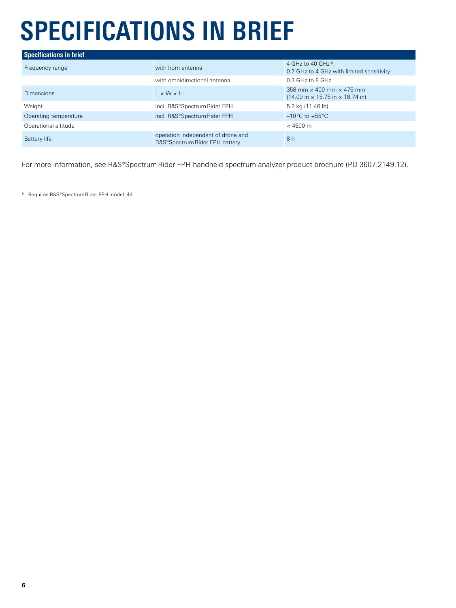# **SPECIFICATIONS IN BRIEF**

| <b>Specifications in brief</b> |                                                                      |                                                                                                                |  |  |  |
|--------------------------------|----------------------------------------------------------------------|----------------------------------------------------------------------------------------------------------------|--|--|--|
| Frequency range                | with horn antenna                                                    | 4 GHz to 40 GHz <sup>1)</sup> ,<br>0.7 GHz to 4 GHz with limited sensitivity                                   |  |  |  |
|                                | with omnidirectional antenna                                         | 0.3 GHz to 8 GHz                                                                                               |  |  |  |
| <b>Dimensions</b>              | $1 \times W \times H$                                                | 358 mm $\times$ 400 mm $\times$ 476 mm<br>$(14.09 \text{ in} \times 15.75 \text{ in} \times 18.74 \text{ in})$ |  |  |  |
| Weight                         | incl. R&S®Spectrum Rider FPH                                         | 5.2 kg (11.46 lb)                                                                                              |  |  |  |
| Operating temperature          | incl. R&S®Spectrum Rider FPH                                         | $-10^{\circ}$ C to $+55^{\circ}$ C                                                                             |  |  |  |
| Operational altitude           |                                                                      | $< 4600 \text{ m}$                                                                                             |  |  |  |
| Battery life                   | operation independent of drone and<br>R&S®Spectrum Rider FPH battery | 8h                                                                                                             |  |  |  |

For more information, see R&S®Spectrum Rider FPH handheld spectrum analyzer product brochure (PD 3607.2149.12).

1) Requires R&S®Spectrum Rider FPH model .44.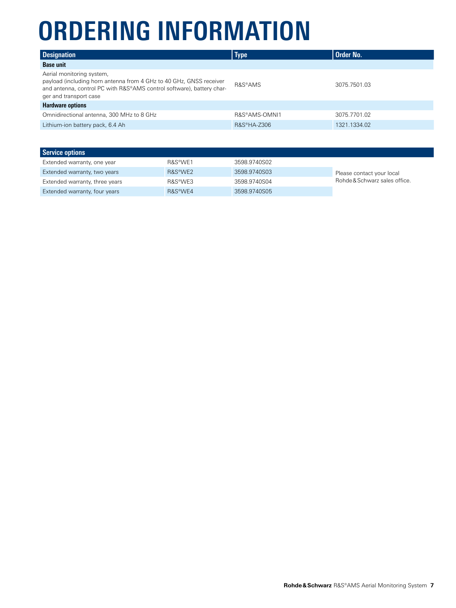## **ORDERING INFORMATION**

| <b>Designation</b>                                                                                                                                                                                  | <b>Type</b>   | Order No.    |
|-----------------------------------------------------------------------------------------------------------------------------------------------------------------------------------------------------|---------------|--------------|
| <b>Base unit</b>                                                                                                                                                                                    |               |              |
| Aerial monitoring system,<br>payload (including horn antenna from 4 GHz to 40 GHz, GNSS receiver<br>and antenna, control PC with R&S®AMS control software), battery char-<br>ger and transport case | R&S®AMS       | 3075.7501.03 |
| <b>Hardware options</b>                                                                                                                                                                             |               |              |
| Omnidirectional antenna, 300 MHz to 8 GHz                                                                                                                                                           | R&S®AMS-OMNI1 | 3075.7701.02 |
| Lithium-ion battery pack, 6.4 Ah                                                                                                                                                                    | R&S®HA-Z306   | 1321.1334.02 |

| <b>Service options</b>         |                      |              |                               |
|--------------------------------|----------------------|--------------|-------------------------------|
| Extended warranty, one year    | R&S <sup>®</sup> WF1 | 3598.9740S02 |                               |
| Extended warranty, two years   | R&S <sup>®</sup> WF2 | 3598.9740S03 | Please contact your local     |
| Extended warranty, three years | R&S®WF3              | 3598.9740S04 | Rohde & Schwarz sales office. |
| Extended warranty, four years  | R&S <sup>®</sup> WF4 | 3598.9740S05 |                               |